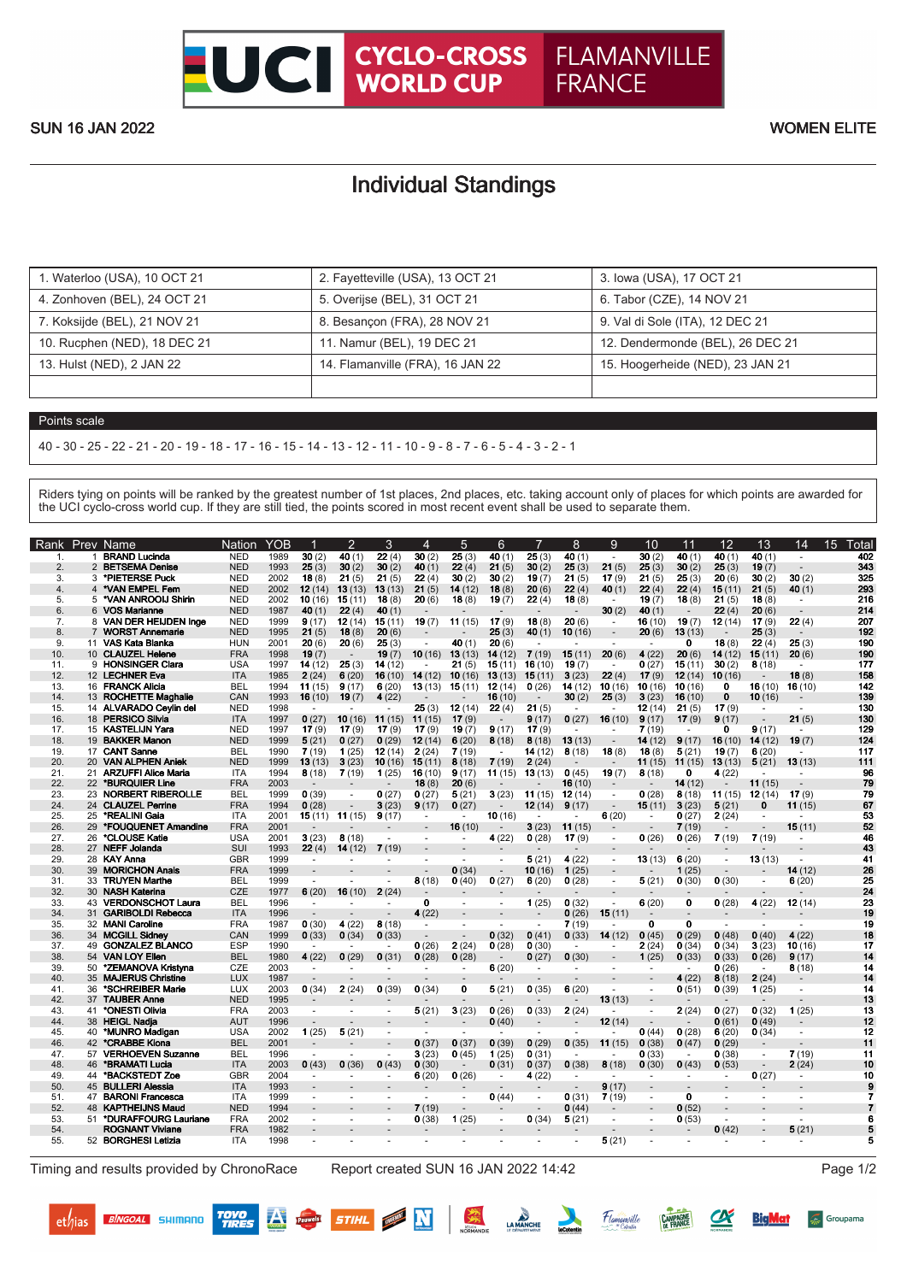**FLAMANVILLE** 

**FRANCE** 

## Individual Standings

| 1. Waterloo (USA), 10 OCT 21 | 2. Fayetteville (USA), 13 OCT 21 | 3. Iowa (USA), 17 OCT 21         |
|------------------------------|----------------------------------|----------------------------------|
| 4. Zonhoven (BEL), 24 OCT 21 | 5. Overijse (BEL), 31 OCT 21     | 6. Tabor (CZE), 14 NOV 21        |
| 7. Koksijde (BEL), 21 NOV 21 | 8. Besançon (FRA), 28 NOV 21     | 9. Val di Sole (ITA), 12 DEC 21  |
| 10. Rucphen (NED), 18 DEC 21 | 11. Namur (BEL), 19 DEC 21       | 12. Dendermonde (BEL), 26 DEC 21 |
| 13. Hulst (NED), 2 JAN 22    | 14. Flamanville (FRA), 16 JAN 22 | 15. Hoogerheide (NED), 23 JAN 21 |
|                              |                                  |                                  |

## Points scale

40 - 30 - 25 - 22 - 21 - 20 - 19 - 18 - 17 - 16 - 15 - 14 - 13 - 12 - 11 - 10 - 9 - 8 - 7 - 6 - 5 - 4 - 3 - 2 - 1

Riders tying on points will be ranked by the greatest number of 1st places, 2nd places, etc. taking account only of places for which points are awarded for the UCI cyclo-cross world cup. If they are still tied, the points scored in most recent event shall be used to separate them.

| 1.<br>2.<br>3.<br>4.<br>5.<br>6.<br>7.<br>8.<br>9.<br>10.<br>11.<br>12.<br>13.<br>14.<br>15.<br>16.<br>17.<br>18.<br>19.<br>20.<br>21.<br>22. | 1<br>3<br>4<br>7 | <b>BRAND Lucinda</b><br>2 BETSEMA Denise<br>*PIETERSE Puck<br>*VAN EMPEL Fem<br>5 *VAN ANROOLI Shirin<br>6 VOS Marianne<br>8 VAN DER HEIJDEN Inge<br><b>WORST Annemarie</b><br>11 VAS Kata Blanka<br>10 CLAUZEL Helene<br>9 HONSINGER Clara<br>12 LECHNER Eva<br>16 FRANCK Alicia<br>13 ROCHETTE Maghalie<br>14 ALVARADO Ceylin del<br>18 PERSICO Silvia<br>15 KASTELIJN Yara<br>19 BAKKER Manon<br>17 CANT Sanne<br>20 VAN ALPHEN Aniek<br>21 ARZUFFI Alice Maria<br>22 *BURQUIER Line | <b>NED</b><br><b>NED</b><br><b>NED</b><br><b>NED</b><br><b>NED</b><br><b>NED</b><br><b>NED</b><br><b>NED</b><br><b>HUN</b><br><b>FRA</b><br><b>USA</b><br><b>ITA</b><br><b>BEL</b><br>CAN<br><b>NED</b><br><b>ITA</b><br><b>NED</b><br><b>NED</b><br><b>BEL</b><br><b>NED</b> | 1989<br>1993<br>2002<br>2002<br>2002<br>1987<br>1999<br>1995<br>2001<br>1998<br>1997<br>1985<br>1994<br>1993<br>1998<br>1997<br>1997<br>1999 | 30(2)<br>25(3)<br>18(8)<br>12(14)<br>10(16)<br>40(1)<br>9(17)<br>21(5)<br>20(6)<br>19(7)<br>14(12)<br>2(24)<br>11(15)<br>16(10)<br>$\sim$<br>0(27)<br>17(9) | 40 (1)<br>30(2)<br>21(5)<br>13(13)<br>15(11)<br>22(4)<br>12(14)<br>18(8)<br>20(6)<br>25(3)<br>6(20)<br>9(17)<br>19(7) | 22(4)<br>30(2)<br>21(5)<br>13(13)<br>18(8)<br>40(1)<br>15(11)<br>20(6)<br>25(3)<br>19(7)<br>14(12)<br>16(10)<br>6(20)<br>4(22) | 30(2)<br>40(1)<br>22(4)<br>21(5)<br>20(6)<br>19(7)<br>$\sim$<br>10(16)<br>14(12)<br>13(13) | 25(3)<br>22(4)<br>30(2)<br>14(12)<br>18(8)<br>11(15)<br>40 (1)<br>13(13)<br>21(5)<br>10(16) | 40(1)<br>21(5)<br>30(2)<br>18(8)<br>19(7)<br>17(9)<br>25(3)<br>20(6)<br>14(12)<br>15(11) | 25(3)<br>30(2)<br>19(7)<br>20(6)<br>22(4)<br>18(8)<br>40(1)<br>7(19)<br>16(10) | 40(1)<br>25(3)<br>21(5)<br>22(4)<br>18(8)<br>20(6)<br>10(16)<br>15(11) | ä,<br>21(5)<br>17(9)<br>40(1)<br>$\sim$<br>30(2)<br>$\sim$<br>$\overline{a}$<br>20(6) | 30(2)<br>25(3)<br>21(5)<br>22(4)<br>19(7)<br>40(1)<br>16(10)<br>20(6)<br>4(22) | 40(1)<br>30(2)<br>25(3)<br>22(4)<br>18(8)<br>19(7)<br>13(13)<br>0<br>20(6)<br>15(11) | 40(1)<br>25(3)<br>20(6)<br>15(11)<br>21(5)<br>22(4)<br>12(14)<br>18(8)<br>14(12)<br>30(2) | 40(1)<br>19(7)<br>30(2)<br>21(5)<br>18(8)<br>20(6)<br>17(9)<br>25(3)<br>22(4)<br>15(11)<br>8(18) | $\mathbf{r}$<br>30(2)<br>40(1)<br>٠<br>22(4)<br>25(3)<br>20(6) | 402<br>343<br>325<br>293<br>216<br>214<br>207<br>192<br>190<br>190 |
|-----------------------------------------------------------------------------------------------------------------------------------------------|------------------|-----------------------------------------------------------------------------------------------------------------------------------------------------------------------------------------------------------------------------------------------------------------------------------------------------------------------------------------------------------------------------------------------------------------------------------------------------------------------------------------|-------------------------------------------------------------------------------------------------------------------------------------------------------------------------------------------------------------------------------------------------------------------------------|----------------------------------------------------------------------------------------------------------------------------------------------|-------------------------------------------------------------------------------------------------------------------------------------------------------------|-----------------------------------------------------------------------------------------------------------------------|--------------------------------------------------------------------------------------------------------------------------------|--------------------------------------------------------------------------------------------|---------------------------------------------------------------------------------------------|------------------------------------------------------------------------------------------|--------------------------------------------------------------------------------|------------------------------------------------------------------------|---------------------------------------------------------------------------------------|--------------------------------------------------------------------------------|--------------------------------------------------------------------------------------|-------------------------------------------------------------------------------------------|--------------------------------------------------------------------------------------------------|----------------------------------------------------------------|--------------------------------------------------------------------|
|                                                                                                                                               |                  |                                                                                                                                                                                                                                                                                                                                                                                                                                                                                         |                                                                                                                                                                                                                                                                               |                                                                                                                                              |                                                                                                                                                             |                                                                                                                       |                                                                                                                                |                                                                                            |                                                                                             |                                                                                          |                                                                                |                                                                        |                                                                                       |                                                                                |                                                                                      |                                                                                           |                                                                                                  |                                                                |                                                                    |
|                                                                                                                                               |                  |                                                                                                                                                                                                                                                                                                                                                                                                                                                                                         |                                                                                                                                                                                                                                                                               |                                                                                                                                              |                                                                                                                                                             |                                                                                                                       |                                                                                                                                |                                                                                            |                                                                                             |                                                                                          |                                                                                |                                                                        |                                                                                       |                                                                                |                                                                                      |                                                                                           |                                                                                                  |                                                                |                                                                    |
|                                                                                                                                               |                  |                                                                                                                                                                                                                                                                                                                                                                                                                                                                                         |                                                                                                                                                                                                                                                                               |                                                                                                                                              |                                                                                                                                                             |                                                                                                                       |                                                                                                                                |                                                                                            |                                                                                             |                                                                                          |                                                                                |                                                                        |                                                                                       |                                                                                |                                                                                      |                                                                                           |                                                                                                  |                                                                |                                                                    |
|                                                                                                                                               |                  |                                                                                                                                                                                                                                                                                                                                                                                                                                                                                         |                                                                                                                                                                                                                                                                               |                                                                                                                                              |                                                                                                                                                             |                                                                                                                       |                                                                                                                                |                                                                                            |                                                                                             |                                                                                          |                                                                                |                                                                        |                                                                                       |                                                                                |                                                                                      |                                                                                           |                                                                                                  |                                                                |                                                                    |
|                                                                                                                                               |                  |                                                                                                                                                                                                                                                                                                                                                                                                                                                                                         |                                                                                                                                                                                                                                                                               |                                                                                                                                              |                                                                                                                                                             |                                                                                                                       |                                                                                                                                |                                                                                            |                                                                                             |                                                                                          |                                                                                |                                                                        |                                                                                       |                                                                                |                                                                                      |                                                                                           |                                                                                                  |                                                                |                                                                    |
|                                                                                                                                               |                  |                                                                                                                                                                                                                                                                                                                                                                                                                                                                                         |                                                                                                                                                                                                                                                                               |                                                                                                                                              |                                                                                                                                                             |                                                                                                                       |                                                                                                                                |                                                                                            |                                                                                             |                                                                                          |                                                                                |                                                                        |                                                                                       |                                                                                |                                                                                      |                                                                                           |                                                                                                  |                                                                |                                                                    |
|                                                                                                                                               |                  |                                                                                                                                                                                                                                                                                                                                                                                                                                                                                         |                                                                                                                                                                                                                                                                               |                                                                                                                                              |                                                                                                                                                             |                                                                                                                       |                                                                                                                                |                                                                                            |                                                                                             |                                                                                          |                                                                                |                                                                        |                                                                                       |                                                                                |                                                                                      |                                                                                           |                                                                                                  |                                                                |                                                                    |
|                                                                                                                                               |                  |                                                                                                                                                                                                                                                                                                                                                                                                                                                                                         |                                                                                                                                                                                                                                                                               |                                                                                                                                              |                                                                                                                                                             |                                                                                                                       |                                                                                                                                |                                                                                            |                                                                                             |                                                                                          |                                                                                |                                                                        |                                                                                       |                                                                                |                                                                                      |                                                                                           |                                                                                                  |                                                                |                                                                    |
|                                                                                                                                               |                  |                                                                                                                                                                                                                                                                                                                                                                                                                                                                                         |                                                                                                                                                                                                                                                                               |                                                                                                                                              |                                                                                                                                                             |                                                                                                                       |                                                                                                                                |                                                                                            |                                                                                             |                                                                                          |                                                                                |                                                                        |                                                                                       |                                                                                |                                                                                      |                                                                                           |                                                                                                  |                                                                |                                                                    |
|                                                                                                                                               |                  |                                                                                                                                                                                                                                                                                                                                                                                                                                                                                         |                                                                                                                                                                                                                                                                               |                                                                                                                                              |                                                                                                                                                             |                                                                                                                       |                                                                                                                                |                                                                                            |                                                                                             |                                                                                          |                                                                                |                                                                        |                                                                                       |                                                                                |                                                                                      |                                                                                           |                                                                                                  |                                                                |                                                                    |
|                                                                                                                                               |                  |                                                                                                                                                                                                                                                                                                                                                                                                                                                                                         |                                                                                                                                                                                                                                                                               |                                                                                                                                              |                                                                                                                                                             |                                                                                                                       |                                                                                                                                |                                                                                            |                                                                                             |                                                                                          |                                                                                | 19(7)                                                                  | $\sim$                                                                                | 0(27)                                                                          |                                                                                      |                                                                                           |                                                                                                  |                                                                | 177                                                                |
|                                                                                                                                               |                  |                                                                                                                                                                                                                                                                                                                                                                                                                                                                                         |                                                                                                                                                                                                                                                                               |                                                                                                                                              |                                                                                                                                                             |                                                                                                                       |                                                                                                                                |                                                                                            |                                                                                             | 13(13)                                                                                   | 15(11)                                                                         | 3(23)                                                                  | 22(4)                                                                                 | 17(9)                                                                          | 12(14)                                                                               | 10(16)                                                                                    |                                                                                                  | 18(8)                                                          | 158                                                                |
|                                                                                                                                               |                  |                                                                                                                                                                                                                                                                                                                                                                                                                                                                                         |                                                                                                                                                                                                                                                                               |                                                                                                                                              |                                                                                                                                                             |                                                                                                                       |                                                                                                                                |                                                                                            | 15(11)                                                                                      | 12(14)                                                                                   | 0(26)                                                                          | 14(12)                                                                 | 10(16)                                                                                | 10(16)                                                                         | 10(16)                                                                               | $\mathbf{0}$                                                                              | 16(10)                                                                                           | 16(10)                                                         | 142                                                                |
|                                                                                                                                               |                  |                                                                                                                                                                                                                                                                                                                                                                                                                                                                                         |                                                                                                                                                                                                                                                                               |                                                                                                                                              |                                                                                                                                                             |                                                                                                                       |                                                                                                                                |                                                                                            |                                                                                             | 16(10)                                                                                   |                                                                                | 30(2)                                                                  | 25(3)                                                                                 | 3(23)                                                                          | 16(10)                                                                               | 0                                                                                         | 10(16)                                                                                           |                                                                | 139                                                                |
|                                                                                                                                               |                  |                                                                                                                                                                                                                                                                                                                                                                                                                                                                                         |                                                                                                                                                                                                                                                                               |                                                                                                                                              |                                                                                                                                                             |                                                                                                                       |                                                                                                                                | 25(3)                                                                                      | 12(14)                                                                                      | 22(4)                                                                                    | 21(5)                                                                          |                                                                        |                                                                                       | 12(14)                                                                         | 21(5)                                                                                | 17(9)                                                                                     | $\overline{\phantom{a}}$                                                                         | ٠                                                              | 130                                                                |
|                                                                                                                                               |                  |                                                                                                                                                                                                                                                                                                                                                                                                                                                                                         |                                                                                                                                                                                                                                                                               |                                                                                                                                              |                                                                                                                                                             | 10(16)                                                                                                                | 11(15)                                                                                                                         | 11(15)                                                                                     | 17(9)                                                                                       |                                                                                          | 9(17)                                                                          | 0(27)                                                                  | 16(10)                                                                                | 9(17)                                                                          | 17(9)                                                                                | 9(17)                                                                                     |                                                                                                  | 21(5)                                                          | 130                                                                |
|                                                                                                                                               |                  |                                                                                                                                                                                                                                                                                                                                                                                                                                                                                         |                                                                                                                                                                                                                                                                               |                                                                                                                                              |                                                                                                                                                             | 17(9)                                                                                                                 | 17(9)                                                                                                                          | 17(9)                                                                                      | 19(7)                                                                                       | 9(17)                                                                                    | 17(9)                                                                          |                                                                        |                                                                                       | 7(19)                                                                          |                                                                                      | 0                                                                                         | 9(17)                                                                                            |                                                                | 129                                                                |
|                                                                                                                                               |                  |                                                                                                                                                                                                                                                                                                                                                                                                                                                                                         |                                                                                                                                                                                                                                                                               |                                                                                                                                              | 5(21)                                                                                                                                                       | 0(27)                                                                                                                 | 0(29)                                                                                                                          | 12(14)                                                                                     | 6(20)                                                                                       | 8(18)                                                                                    | 8(18)                                                                          | 13(13)                                                                 | $\overline{\phantom{a}}$                                                              | 14(12)                                                                         | 9(17)                                                                                | 16(10)                                                                                    | 14(12)                                                                                           | 19(7)                                                          | 124                                                                |
|                                                                                                                                               |                  |                                                                                                                                                                                                                                                                                                                                                                                                                                                                                         |                                                                                                                                                                                                                                                                               | 1990                                                                                                                                         | 7(19)                                                                                                                                                       | 1(25)                                                                                                                 | 12(14)                                                                                                                         | 2(24)                                                                                      | 7(19)                                                                                       |                                                                                          | 14(12)                                                                         | 8(18)                                                                  | 18(8)                                                                                 | 18(8)                                                                          | 5(21)                                                                                | 19(7)                                                                                     | 6(20)                                                                                            |                                                                | 117                                                                |
|                                                                                                                                               |                  |                                                                                                                                                                                                                                                                                                                                                                                                                                                                                         |                                                                                                                                                                                                                                                                               | 1999                                                                                                                                         | 13(13)                                                                                                                                                      | 3(23)                                                                                                                 | 10(16)                                                                                                                         | 15(11)                                                                                     | 8(18)                                                                                       | 7(19)                                                                                    | 2(24)                                                                          |                                                                        | $\sim$                                                                                | 11 $(15)$                                                                      | 11 $(15)$                                                                            | 13(13)                                                                                    | 5(21)                                                                                            | 13(13)                                                         | 111                                                                |
|                                                                                                                                               |                  |                                                                                                                                                                                                                                                                                                                                                                                                                                                                                         | <b>ITA</b>                                                                                                                                                                                                                                                                    | 1994                                                                                                                                         | 8(18)                                                                                                                                                       | 7(19)                                                                                                                 | 1(25)                                                                                                                          | 16(10)                                                                                     | 9(17)                                                                                       | 11(15)                                                                                   | 13(13)                                                                         | 0(45)                                                                  | 19(7)                                                                                 | 8(18)                                                                          | 0                                                                                    | 4(22)                                                                                     |                                                                                                  | ٠                                                              | 96                                                                 |
|                                                                                                                                               |                  |                                                                                                                                                                                                                                                                                                                                                                                                                                                                                         | <b>FRA</b>                                                                                                                                                                                                                                                                    | 2003                                                                                                                                         |                                                                                                                                                             |                                                                                                                       |                                                                                                                                | 18(8)                                                                                      | 20(6)                                                                                       |                                                                                          |                                                                                | 16(10)                                                                 | $\overline{\phantom{a}}$                                                              |                                                                                | 14(12)                                                                               |                                                                                           | 11(15)                                                                                           |                                                                | 79                                                                 |
| 23.                                                                                                                                           |                  | 23 NORBERT RIBEROLLE                                                                                                                                                                                                                                                                                                                                                                                                                                                                    | <b>BEL</b>                                                                                                                                                                                                                                                                    | 1999                                                                                                                                         | 0(39)                                                                                                                                                       | ÷.                                                                                                                    | 0(27)                                                                                                                          | 0(27)                                                                                      | 5(21)                                                                                       | 3(23)                                                                                    | 11(15)                                                                         | 12(14)                                                                 | $\overline{\phantom{a}}$                                                              | 0(28)                                                                          | 8(18)                                                                                | 11(15)                                                                                    | 12(14)                                                                                           | 17(9)                                                          | 79                                                                 |
| 24.                                                                                                                                           |                  | 24 CLAUZEL Perrine                                                                                                                                                                                                                                                                                                                                                                                                                                                                      | <b>FRA</b>                                                                                                                                                                                                                                                                    | 1994                                                                                                                                         | 0(28)                                                                                                                                                       |                                                                                                                       | 3(23)                                                                                                                          | 9(17)                                                                                      | 0(27)                                                                                       |                                                                                          | 12(14)                                                                         | 9(17)                                                                  |                                                                                       | 15(11)                                                                         | 3(23)                                                                                | 5(21)                                                                                     | $\mathbf{0}$                                                                                     | 11(15)                                                         | 67                                                                 |
| 25.                                                                                                                                           | 25               | *REALINI Gaia                                                                                                                                                                                                                                                                                                                                                                                                                                                                           | <b>ITA</b>                                                                                                                                                                                                                                                                    | 2001                                                                                                                                         | 15(11)                                                                                                                                                      | 11(15)                                                                                                                | 9(17)                                                                                                                          | $\overline{\phantom{a}}$                                                                   |                                                                                             | 10(16)                                                                                   |                                                                                |                                                                        | 6(20)                                                                                 | $\overline{\phantom{a}}$                                                       | 0(27)                                                                                | 2(24)                                                                                     | $\sim$                                                                                           |                                                                | 53                                                                 |
| 26.                                                                                                                                           | 29               | *FOUQUENET Amandine                                                                                                                                                                                                                                                                                                                                                                                                                                                                     | <b>FRA</b>                                                                                                                                                                                                                                                                    | 2001                                                                                                                                         |                                                                                                                                                             |                                                                                                                       |                                                                                                                                |                                                                                            | 16(10)                                                                                      |                                                                                          | 3(23)                                                                          | 11(15)                                                                 |                                                                                       |                                                                                | 7(19)                                                                                |                                                                                           |                                                                                                  | 15(11)                                                         | 52                                                                 |
| 27.                                                                                                                                           |                  | 26 *CLOUSE Katie                                                                                                                                                                                                                                                                                                                                                                                                                                                                        | <b>USA</b>                                                                                                                                                                                                                                                                    | 2001                                                                                                                                         | 3(23)                                                                                                                                                       | 8(18)                                                                                                                 | ٠                                                                                                                              | $\mathbf{r}$                                                                               | $\sim$                                                                                      | 4(22)                                                                                    | 0(28)                                                                          | 17(9)                                                                  | $\overline{\phantom{a}}$                                                              | 0(26)                                                                          | 0(26)                                                                                | 7(19)                                                                                     | 7(19)                                                                                            |                                                                | 46                                                                 |
| 28.                                                                                                                                           |                  | 27 NEFF Jolanda                                                                                                                                                                                                                                                                                                                                                                                                                                                                         | SUI                                                                                                                                                                                                                                                                           | 1993                                                                                                                                         | 22(4)                                                                                                                                                       | 14(12)                                                                                                                | 7(19)                                                                                                                          |                                                                                            |                                                                                             |                                                                                          |                                                                                |                                                                        |                                                                                       |                                                                                |                                                                                      |                                                                                           |                                                                                                  |                                                                | 43                                                                 |
| 29.                                                                                                                                           |                  | 28 KAY Anna                                                                                                                                                                                                                                                                                                                                                                                                                                                                             | <b>GBR</b>                                                                                                                                                                                                                                                                    | 1999                                                                                                                                         | $\sim$                                                                                                                                                      |                                                                                                                       |                                                                                                                                |                                                                                            | ÷.                                                                                          | $\overline{a}$                                                                           | 5(21)                                                                          | 4(22)                                                                  | ÷.                                                                                    | 13(13)                                                                         | 6(20)                                                                                | ÷.                                                                                        | 13(13)                                                                                           | ÷.                                                             | 41                                                                 |
| 30.                                                                                                                                           |                  | 39 MORICHON Anais                                                                                                                                                                                                                                                                                                                                                                                                                                                                       | <b>FRA</b>                                                                                                                                                                                                                                                                    | 1999                                                                                                                                         |                                                                                                                                                             |                                                                                                                       |                                                                                                                                |                                                                                            | 0(34)                                                                                       | ÷,                                                                                       | 10(16)                                                                         | 1(25)                                                                  | $\overline{\phantom{a}}$                                                              |                                                                                | 1(25)                                                                                |                                                                                           |                                                                                                  | 14(12)                                                         | 26                                                                 |
| 31.                                                                                                                                           | 33               | <b>TRUYEN Marthe</b>                                                                                                                                                                                                                                                                                                                                                                                                                                                                    | <b>BEL</b>                                                                                                                                                                                                                                                                    | 1999                                                                                                                                         |                                                                                                                                                             |                                                                                                                       | $\sim$                                                                                                                         | 8(18)                                                                                      | 0(40)                                                                                       | 0(27)                                                                                    | 6(20)                                                                          | 0(28)                                                                  | $\overline{\phantom{a}}$                                                              | 5(21)                                                                          | 0(30)                                                                                | 0(30)                                                                                     | $\sim$                                                                                           | 6(20)                                                          | 25                                                                 |
| 32.                                                                                                                                           |                  | 30 NASH Katerina                                                                                                                                                                                                                                                                                                                                                                                                                                                                        | <b>CZE</b>                                                                                                                                                                                                                                                                    | 1977                                                                                                                                         | 6(20)                                                                                                                                                       | 16(10)                                                                                                                | 2(24)                                                                                                                          |                                                                                            |                                                                                             |                                                                                          |                                                                                |                                                                        |                                                                                       |                                                                                |                                                                                      |                                                                                           |                                                                                                  |                                                                | 24                                                                 |
| 33.                                                                                                                                           |                  | 43 VERDONSCHOT Laura                                                                                                                                                                                                                                                                                                                                                                                                                                                                    | <b>BEL</b>                                                                                                                                                                                                                                                                    | 1996                                                                                                                                         | $\blacksquare$                                                                                                                                              | $\overline{\phantom{a}}$                                                                                              |                                                                                                                                | 0                                                                                          | $\overline{\phantom{a}}$                                                                    | $\overline{\phantom{a}}$                                                                 | 1(25)                                                                          | 0(32)                                                                  | $\overline{\phantom{a}}$                                                              | 6(20)                                                                          | 0                                                                                    | 0(28)                                                                                     | 4(22)                                                                                            | 12(14)                                                         | 23                                                                 |
| 34.                                                                                                                                           |                  | 31 GARIBOLDI Rebecca                                                                                                                                                                                                                                                                                                                                                                                                                                                                    | <b>ITA</b>                                                                                                                                                                                                                                                                    | 1996                                                                                                                                         |                                                                                                                                                             |                                                                                                                       |                                                                                                                                | 4(22)                                                                                      |                                                                                             |                                                                                          |                                                                                | 0(26)                                                                  | 15(11)                                                                                |                                                                                |                                                                                      |                                                                                           |                                                                                                  |                                                                | 19                                                                 |
| 35.                                                                                                                                           |                  | 32 MANI Caroline                                                                                                                                                                                                                                                                                                                                                                                                                                                                        | <b>FRA</b>                                                                                                                                                                                                                                                                    | 1987                                                                                                                                         | 0(30)                                                                                                                                                       | 4(22)                                                                                                                 | 8(18)                                                                                                                          | $\sim$                                                                                     | ÷.                                                                                          | ÷.                                                                                       | $\sim$                                                                         | 7(19)                                                                  |                                                                                       | 0                                                                              | $\bf{0}$                                                                             | ÷.                                                                                        |                                                                                                  |                                                                | 19                                                                 |
| 36.                                                                                                                                           |                  | 34 MCGILL Sidney                                                                                                                                                                                                                                                                                                                                                                                                                                                                        | CAN                                                                                                                                                                                                                                                                           | 1999                                                                                                                                         | 0(33)                                                                                                                                                       | 0(34)                                                                                                                 | 0(33)                                                                                                                          |                                                                                            | $\overline{a}$                                                                              | 0(32)                                                                                    | 0(41)                                                                          | 0(33)                                                                  | 14(12)                                                                                | 0(45)                                                                          | 0(29)                                                                                | 0(48)                                                                                     | 0(40)                                                                                            | 4(22)                                                          | 18                                                                 |
| 37.                                                                                                                                           |                  | 49 GONZALEZ BLANCO                                                                                                                                                                                                                                                                                                                                                                                                                                                                      | <b>ESP</b>                                                                                                                                                                                                                                                                    | 1990                                                                                                                                         |                                                                                                                                                             |                                                                                                                       |                                                                                                                                | 0(26)                                                                                      | 2(24)                                                                                       | 0(28)                                                                                    | 0(30)                                                                          |                                                                        |                                                                                       | 2(24)                                                                          | 0(34)                                                                                | 0(34)                                                                                     | 3(23)                                                                                            | 10(16)                                                         | 17                                                                 |
| 38.                                                                                                                                           |                  | 54 VAN LOY Ellen                                                                                                                                                                                                                                                                                                                                                                                                                                                                        | <b>BEL</b>                                                                                                                                                                                                                                                                    | 1980                                                                                                                                         | 4(22)                                                                                                                                                       | 0(29)                                                                                                                 | 0(31)                                                                                                                          | 0(28)                                                                                      | 0(28)                                                                                       |                                                                                          | 0(27)                                                                          | 0(30)                                                                  |                                                                                       | 1(25)                                                                          | 0(33)                                                                                | 0(33)                                                                                     | 0(26)                                                                                            | 9(17)                                                          | 14                                                                 |
| 39.                                                                                                                                           | 50               | *ZEMANOVA Kristyna                                                                                                                                                                                                                                                                                                                                                                                                                                                                      | CZE                                                                                                                                                                                                                                                                           | 2003                                                                                                                                         | ÷.                                                                                                                                                          | $\sim$                                                                                                                | $\sim$                                                                                                                         | $\sim$                                                                                     | ÷.                                                                                          | 6(20)                                                                                    |                                                                                | $\sim$                                                                 | $\sim$                                                                                |                                                                                |                                                                                      | 0(26)                                                                                     | $\sim$                                                                                           | 8(18)                                                          | 14                                                                 |
| 40.                                                                                                                                           |                  | 35 MAJERUS Christine                                                                                                                                                                                                                                                                                                                                                                                                                                                                    | <b>LUX</b>                                                                                                                                                                                                                                                                    | 1987                                                                                                                                         |                                                                                                                                                             |                                                                                                                       |                                                                                                                                |                                                                                            |                                                                                             |                                                                                          |                                                                                |                                                                        |                                                                                       |                                                                                | 4(22)                                                                                | 8(18)                                                                                     | 2(24)                                                                                            |                                                                | 14                                                                 |
| 41.                                                                                                                                           | 36               | *SCHREIBER Marie                                                                                                                                                                                                                                                                                                                                                                                                                                                                        | LUX                                                                                                                                                                                                                                                                           | 2003                                                                                                                                         | 0(34)                                                                                                                                                       | 2(24)                                                                                                                 | 0(39)                                                                                                                          | 0(34)                                                                                      | $\mathbf 0$                                                                                 | 5(21)                                                                                    | 0(35)                                                                          | 6(20)                                                                  | ×.                                                                                    | $\blacksquare$                                                                 | 0(51)                                                                                | 0(39)                                                                                     | 1(25)                                                                                            |                                                                | 14                                                                 |
| 42.                                                                                                                                           |                  | 37 TAUBER Anne                                                                                                                                                                                                                                                                                                                                                                                                                                                                          | <b>NED</b>                                                                                                                                                                                                                                                                    | 1995                                                                                                                                         |                                                                                                                                                             |                                                                                                                       |                                                                                                                                |                                                                                            |                                                                                             |                                                                                          |                                                                                |                                                                        | 13(13)                                                                                |                                                                                | $\sim$                                                                               |                                                                                           |                                                                                                  |                                                                | 13                                                                 |
| 43.                                                                                                                                           |                  | 41 *ONESTI Olivia                                                                                                                                                                                                                                                                                                                                                                                                                                                                       | <b>FRA</b>                                                                                                                                                                                                                                                                    | 2003                                                                                                                                         | $\sim$                                                                                                                                                      | ÷.                                                                                                                    | ٠                                                                                                                              | 5(21)                                                                                      | 3(23)                                                                                       | 0(26)                                                                                    | 0(33)                                                                          | 2(24)                                                                  |                                                                                       | $\sim$                                                                         | 2(24)                                                                                | 0(27)                                                                                     | 0(32)                                                                                            | 1(25)                                                          | 13                                                                 |
| 44.                                                                                                                                           |                  | 38 HEIGL Nadja                                                                                                                                                                                                                                                                                                                                                                                                                                                                          | <b>AUT</b>                                                                                                                                                                                                                                                                    | 1996                                                                                                                                         |                                                                                                                                                             |                                                                                                                       |                                                                                                                                |                                                                                            |                                                                                             | 0(40)                                                                                    |                                                                                |                                                                        | 12(14)                                                                                |                                                                                |                                                                                      | 0(61)                                                                                     | 0(49)                                                                                            |                                                                | 12                                                                 |
| 45.                                                                                                                                           | 40               | *MUNRO Madigan                                                                                                                                                                                                                                                                                                                                                                                                                                                                          | <b>USA</b>                                                                                                                                                                                                                                                                    | 2002                                                                                                                                         | 1(25)                                                                                                                                                       | 5(21)                                                                                                                 | $\overline{a}$                                                                                                                 |                                                                                            |                                                                                             | ÷.                                                                                       |                                                                                |                                                                        |                                                                                       | 0(44)                                                                          | 0(28)                                                                                | 6(20)                                                                                     | 0(34)                                                                                            | ×,                                                             | 12                                                                 |
| 46.                                                                                                                                           |                  | 42 *CRABBE Kiona                                                                                                                                                                                                                                                                                                                                                                                                                                                                        | <b>BEL</b>                                                                                                                                                                                                                                                                    | 2001                                                                                                                                         |                                                                                                                                                             |                                                                                                                       | ÷,                                                                                                                             | 0(37)                                                                                      | 0(37)                                                                                       | 0(39)                                                                                    | 0(29)                                                                          | 0(35)                                                                  | 11(15)                                                                                | 0(38)                                                                          | 0(47)                                                                                | 0(29)                                                                                     |                                                                                                  |                                                                | 11                                                                 |
| 47.                                                                                                                                           |                  | 57 VERHOEVEN Suzanne                                                                                                                                                                                                                                                                                                                                                                                                                                                                    | <b>BEL</b>                                                                                                                                                                                                                                                                    | 1996                                                                                                                                         | $\sim$                                                                                                                                                      | $\sim$                                                                                                                | ä,                                                                                                                             | 3(23)                                                                                      | 0(45)                                                                                       | 1(25)                                                                                    | 0(31)                                                                          |                                                                        |                                                                                       | 0(33)                                                                          |                                                                                      | 0(38)                                                                                     | $\blacksquare$                                                                                   | 7(19)                                                          | 11                                                                 |
| 48.                                                                                                                                           | 46               | *BRAMATI Lucia                                                                                                                                                                                                                                                                                                                                                                                                                                                                          | <b>ITA</b>                                                                                                                                                                                                                                                                    | 2003                                                                                                                                         | 0(43)                                                                                                                                                       | 0(36)                                                                                                                 | 0(43)                                                                                                                          | 0(30)                                                                                      |                                                                                             | 0(31)                                                                                    | 0(37)                                                                          | 0(38)                                                                  | 8(18)                                                                                 | 0(30)                                                                          | 0(43)                                                                                | 0(53)                                                                                     |                                                                                                  | 2(24)                                                          | 10                                                                 |
| 49.                                                                                                                                           |                  | 44 *BACKSTEDT Zoe                                                                                                                                                                                                                                                                                                                                                                                                                                                                       | <b>GBR</b>                                                                                                                                                                                                                                                                    | 2004                                                                                                                                         | $\overline{\phantom{a}}$                                                                                                                                    | $\sim$                                                                                                                | $\blacksquare$                                                                                                                 | 6(20)                                                                                      | 0(26)                                                                                       | $\sim$                                                                                   | 4(22)                                                                          | $\sim$                                                                 | ÷                                                                                     |                                                                                | $\sim$                                                                               | $\sim$                                                                                    | 0(27)                                                                                            | $\sim$                                                         | 10                                                                 |
| 50.                                                                                                                                           |                  | 45 BULLERI Alessia                                                                                                                                                                                                                                                                                                                                                                                                                                                                      | <b>ITA</b>                                                                                                                                                                                                                                                                    | 1993                                                                                                                                         |                                                                                                                                                             |                                                                                                                       |                                                                                                                                |                                                                                            | ÷.                                                                                          |                                                                                          | $\sim$                                                                         | ÷,                                                                     | 9(17)                                                                                 |                                                                                | ÷,<br>$\bf{0}$                                                                       |                                                                                           |                                                                                                  |                                                                | 9<br>7                                                             |
| 51.<br>52.                                                                                                                                    |                  | 47 BARONI Francesca<br><b>48 KAPTHEIJNS Maud</b>                                                                                                                                                                                                                                                                                                                                                                                                                                        | <b>ITA</b><br><b>NED</b>                                                                                                                                                                                                                                                      | 1999                                                                                                                                         | $\tilde{\phantom{a}}$                                                                                                                                       | ÷.                                                                                                                    | ÷.                                                                                                                             |                                                                                            |                                                                                             | 0(44)                                                                                    |                                                                                | 0(31)                                                                  | 7(19)                                                                                 |                                                                                |                                                                                      |                                                                                           |                                                                                                  | ÷.                                                             |                                                                    |
|                                                                                                                                               |                  |                                                                                                                                                                                                                                                                                                                                                                                                                                                                                         |                                                                                                                                                                                                                                                                               | 1994                                                                                                                                         |                                                                                                                                                             |                                                                                                                       |                                                                                                                                | 7(19)                                                                                      |                                                                                             |                                                                                          |                                                                                | 0(44)                                                                  |                                                                                       |                                                                                | 0(52)                                                                                |                                                                                           |                                                                                                  |                                                                | $\overline{7}$                                                     |
| 53.                                                                                                                                           |                  | 51 *DURAFFOURG Lauriane                                                                                                                                                                                                                                                                                                                                                                                                                                                                 | <b>FRA</b>                                                                                                                                                                                                                                                                    | 2002                                                                                                                                         | $\sim$                                                                                                                                                      | $\sim$                                                                                                                | $\overline{\phantom{a}}$                                                                                                       | 0(38)                                                                                      | 1(25)                                                                                       | $\overline{\phantom{a}}$                                                                 | 0(34)                                                                          | 5(21)                                                                  | $\overline{\phantom{a}}$                                                              | $\overline{\phantom{a}}$                                                       | 0(53)                                                                                | ÷.                                                                                        |                                                                                                  | ÷.                                                             | 6                                                                  |
| 54.<br>55.                                                                                                                                    |                  | <b>ROGNANT Viviane</b><br>52 BORGHESI Letizia                                                                                                                                                                                                                                                                                                                                                                                                                                           | <b>FRA</b>                                                                                                                                                                                                                                                                    | 1982<br>1998                                                                                                                                 |                                                                                                                                                             |                                                                                                                       |                                                                                                                                |                                                                                            |                                                                                             |                                                                                          |                                                                                |                                                                        |                                                                                       |                                                                                |                                                                                      | 0(42)                                                                                     |                                                                                                  | 5(21)                                                          |                                                                    |
|                                                                                                                                               |                  |                                                                                                                                                                                                                                                                                                                                                                                                                                                                                         | <b>ITA</b>                                                                                                                                                                                                                                                                    |                                                                                                                                              |                                                                                                                                                             |                                                                                                                       |                                                                                                                                |                                                                                            |                                                                                             |                                                                                          |                                                                                |                                                                        | 5(21)                                                                                 |                                                                                |                                                                                      |                                                                                           |                                                                                                  |                                                                |                                                                    |

Timing and results provided by ChronoRace Report created SUN 16 JAN 2022 14:42 Page 1/2

**TOYO<br>TIRES** 

Groupama

**BiaMat** 



I





Flamanville

CAMPAGNE